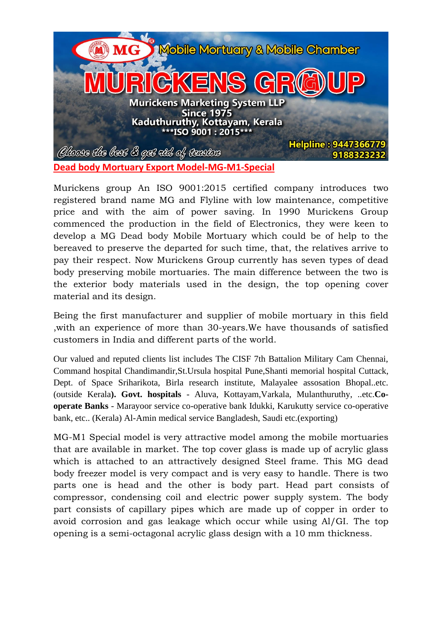

Murickens group An ISO 9001:2015 certified company introduces two registered brand name MG and Flyline with low maintenance, competitive price and with the aim of power saving. In 1990 Murickens Group commenced the production in the field of Electronics, they were keen to develop a MG Dead body Mobile Mortuary which could be of help to the bereaved to preserve the departed for such time, that, the relatives arrive to pay their respect. Now Murickens Group currently has seven types of dead body preserving mobile mortuaries. The main difference between the two is the exterior body materials used in the design, the top opening cover material and its design.

Being the first manufacturer and supplier of mobile mortuary in this field ,with an experience of more than 30-years.We have thousands of satisfied customers in India and different parts of the world.

Our valued and reputed clients list includes The CISF 7th Battalion Military Cam Chennai, Command hospital Chandimandir,St.Ursula hospital Pune,Shanti memorial hospital Cuttack, Dept. of Space Sriharikota, Birla research institute, Malayalee assosation Bhopal..etc. (outside Kerala**). Govt. hospitals** - Aluva, Kottayam,Varkala, Mulanthuruthy, ..etc.**Cooperate Banks** - Marayoor service co-operative bank Idukki, Karukutty service co-operative bank, etc.. (Kerala) Al-Amin medical service Bangladesh, Saudi etc.(exporting)

MG-M1 Special model is very attractive model among the mobile mortuaries that are available in market. The top cover glass is made up of acrylic glass which is attached to an attractively designed Steel frame. This MG dead body freezer model is very compact and is very easy to handle. There is two parts one is head and the other is body part. Head part consists of compressor, condensing coil and electric power supply system. The body part consists of capillary pipes which are made up of copper in order to avoid corrosion and gas leakage which occur while using Al/GI. The top opening is a semi-octagonal acrylic glass design with a 10 mm thickness.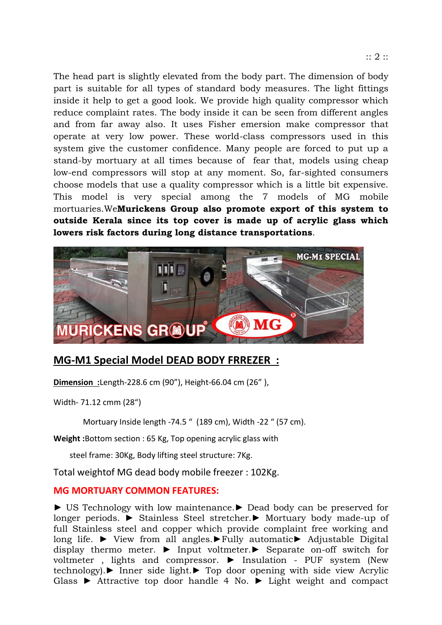The head part is slightly elevated from the body part. The dimension of body part is suitable for all types of standard body measures. The light fittings inside it help to get a good look. We provide high quality compressor which reduce complaint rates. The body inside it can be seen from different angles and from far away also. It uses Fisher emersion make compressor that operate at very low power. These world-class compressors used in this system give the customer confidence. Many people are forced to put up a stand-by mortuary at all times because of fear that, models using cheap low-end compressors will stop at any moment. So, far-sighted consumers choose models that use a quality compressor which is a little bit expensive. This model is very special among the 7 models of MG mobile mortuaries.We**Murickens Group also promote export of this system to outside Kerala since its top cover is made up of acrylic glass which lowers risk factors during long distance transportations**.



## **MG-M1 Special Model DEAD BODY FRREZER :**

**Dimension :**Length-228.6 cm (90"), Height-66.04 cm (26" ),

Width- 71.12 cmm (28")

Mortuary Inside length -74.5 " (189 cm), Width -22 " (57 cm).

**Weight :**Bottom section : 65 Kg, Top opening acrylic glass with

steel frame: 30Kg, Body lifting steel structure: 7Kg.

Total weightof MG dead body mobile freezer : 102Kg.

## **MG MORTUARY COMMON FEATURES:**

► US Technology with low maintenance.► Dead body can be preserved for longer periods. ► Stainless Steel stretcher.► Mortuary body made-up of full Stainless steel and copper which provide complaint free working and long life. ► View from all angles.►Fully automatic► Adjustable Digital display thermo meter. ► Input voltmeter.► Separate on-off switch for voltmeter , lights and compressor. ► Insulation - PUF system (New technology).► Inner side light.► Top door opening with side view Acrylic Glass ► Attractive top door handle 4 No. ► Light weight and compact